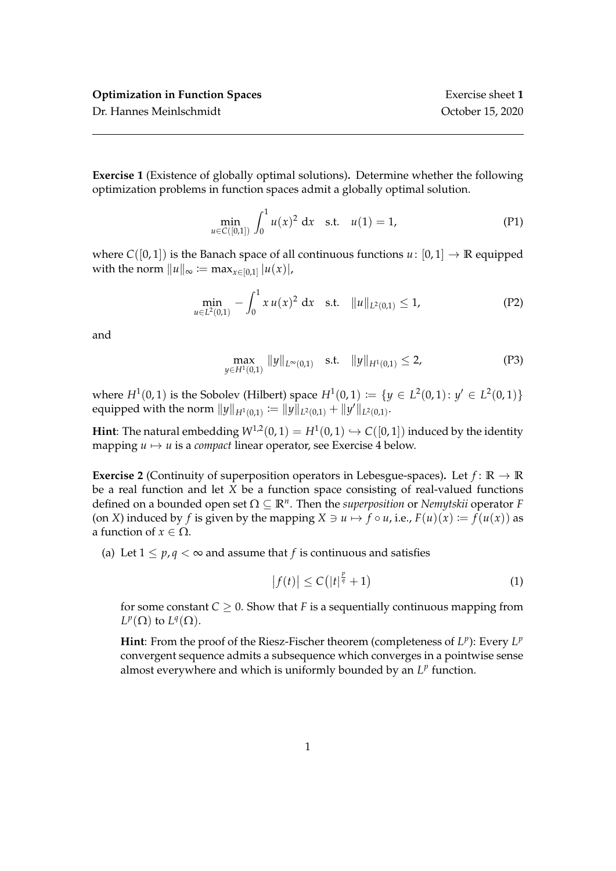**Exercise 1** (Existence of globally optimal solutions)**.** Determine whether the following optimization problems in function spaces admit a globally optimal solution.

$$
\min_{u \in C([0,1])} \int_0^1 u(x)^2 dx \quad \text{s.t.} \quad u(1) = 1,\tag{P1}
$$

where  $C([0, 1])$  is the Banach space of all continuous functions  $u: [0, 1] \rightarrow \mathbb{R}$  equipped with the norm  $\|u\|_{\infty} := \max_{x \in [0,1]} |u(x)|$ ,

$$
\min_{u \in L^2(0,1)} - \int_0^1 x u(x)^2 dx \quad \text{s.t.} \quad \|u\|_{L^2(0,1)} \le 1,\tag{P2}
$$

and

$$
\max_{y \in H^1(0,1)} \|y\|_{L^{\infty}(0,1)} \quad \text{s.t.} \quad \|y\|_{H^1(0,1)} \le 2,
$$
 (P3)

where  $H^1(0,1)$  is the Sobolev (Hilbert) space  $H^1(0,1) := \{y \in L^2(0,1): y' \in L^2(0,1)\}\$ equipped with the norm  $||y||_{H^1(0,1)} := ||y||_{L^2(0,1)} + ||y'||_{L^2(0,1)}.$ 

**Hint**: The natural embedding  $W^{1,2}(0,1) = H^1(0,1) \hookrightarrow C([0,1])$  induced by the identity mapping  $u \mapsto u$  is a *compact* linear operator, see Exercise 4 below.

**Exercise 2** (Continuity of superposition operators in Lebesgue-spaces). Let  $f: \mathbb{R} \to \mathbb{R}$ be a real function and let *X* be a function space consisting of real-valued functions defined on a bounded open set Ω ⊆ **R***<sup>n</sup>* . Then the *superposition* or *Nemytskii* operator *F* (on *X*) induced by *f* is given by the mapping  $X \ni u \mapsto f \circ u$ , i.e.,  $F(u)(x) := f(u(x))$  as a function of  $x \in \Omega$ .

(a) Let  $1 \leq p, q < \infty$  and assume that *f* is continuous and satisfies

$$
\left|f(t)\right| \leq C\left(\left|t\right|^{\frac{p}{q}}+1\right) \tag{1}
$$

for some constant  $C \geq 0$ . Show that *F* is a sequentially continuous mapping from  $L^p(\Omega)$  to  $L^q(\Omega)$ .

Hint: From the proof of the Riesz-Fischer theorem (completeness of  $L^p$ ): Every  $L^p$ convergent sequence admits a subsequence which converges in a pointwise sense almost everywhere and which is uniformly bounded by an  $L^p$  function.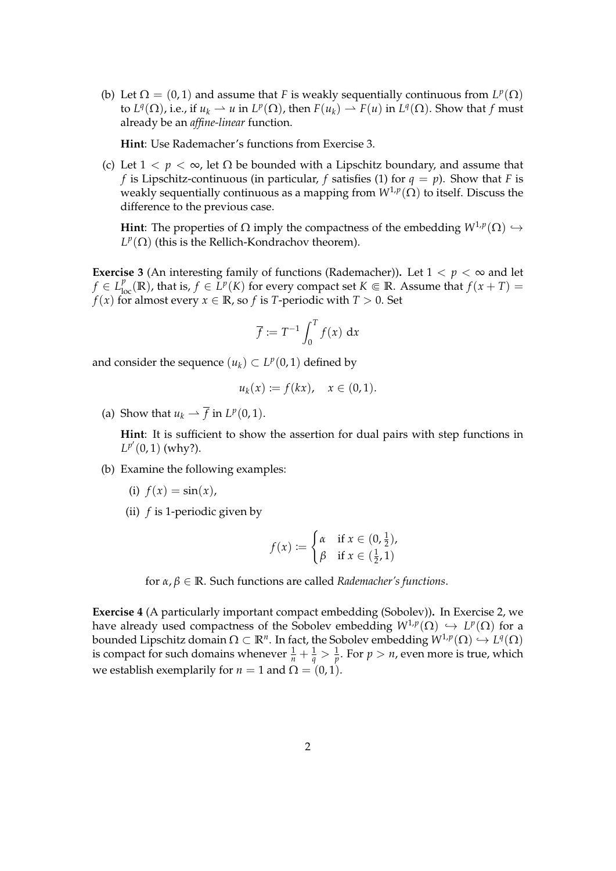(b) Let  $\Omega = (0, 1)$  and assume that *F* is weakly sequentially continuous from  $L^p(\Omega)$ to  $L^q(\Omega)$ , i.e., if  $u_k \rightharpoonup u$  in  $L^p(\Omega)$ , then  $F(u_k) \rightharpoonup F(u)$  in  $L^q(\Omega)$ . Show that  $f$  must already be an *affine-linear* function.

**Hint**: Use Rademacher's functions from Exercise 3.

(c) Let  $1 < p < \infty$ , let  $\Omega$  be bounded with a Lipschitz boundary, and assume that *f* is Lipschitz-continuous (in particular, *f* satisfies (1) for  $q = p$ ). Show that *F* is weakly sequentially continuous as a mapping from *W*1,*<sup>p</sup>* (Ω) to itself. Discuss the difference to the previous case.

**Hint**: The properties of  $\Omega$  imply the compactness of the embedding  $W^{1,p}(\Omega) \hookrightarrow$  $L^p(\Omega)$  (this is the Rellich-Kondrachov theorem).

**Exercise 3** (An interesting family of functions (Rademacher)). Let  $1 < p < \infty$  and let  $f \in L_{loc}^p(\mathbb{R})$ , that is,  $f \in L^p(K)$  for every compact set  $K \Subset \mathbb{R}$ . Assume that  $f(x+T) =$ *f*(*x*) for almost every *x*  $\in \mathbb{R}$ , so *f* is *T*-periodic with *T* > 0. Set

$$
\overline{f} := T^{-1} \int_0^T f(x) \, \mathrm{d}x
$$

and consider the sequence  $(u_k) \subset L^p(0,1)$  defined by

$$
u_k(x) := f(kx), \quad x \in (0,1).
$$

(a) Show that  $u_k \rightharpoonup \overline{f}$  in  $L^p(0,1)$ .

**Hint**: It is sufficient to show the assertion for dual pairs with step functions in  $L^{p'}(0, 1)$  (why?).

- (b) Examine the following examples:
	- (i)  $f(x) = \sin(x)$ ,
	- (ii) *f* is 1-periodic given by

$$
f(x) := \begin{cases} \alpha & \text{if } x \in (0, \frac{1}{2}), \\ \beta & \text{if } x \in (\frac{1}{2}, 1) \end{cases}
$$

for *α*, *β* ∈ **R**. Such functions are called *Rademacher's functions*.

**Exercise 4** (A particularly important compact embedding (Sobolev))**.** In Exercise 2, we have already used compactness of the Sobolev embedding  $W^{1,p}(\Omega) \hookrightarrow L^p(\Omega)$  for a bounded Lipschitz domain  $\Omega\subset\mathbb{R}^n.$  In fact, the Sobolev embedding  $W^{1,p}(\Omega)\hookrightarrow L^q(\Omega)$ is compact for such domains whenever  $\frac{1}{n} + \frac{1}{q} > \frac{1}{p}$ . For  $p > n$ , even more is true, which we establish exemplarily for  $n = 1$  and  $\Omega = (0, 1)$ .